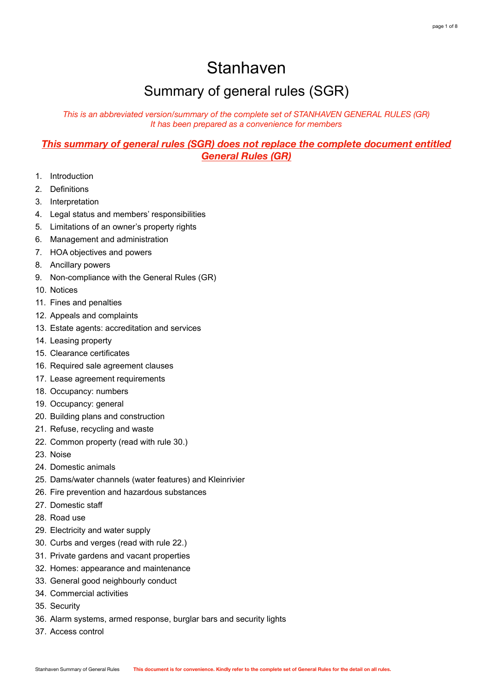# Stanhaven

# Summary of general rules (SGR)

*This is an abbreviated version/summary of the complete set of STANHAVEN GENERAL RULES (GR) It has been prepared as a convenience for members*

# *This summary of general rules (SGR) does not replace the complete document entitled General Rules (GR)*

- 1. Introduction
- 2. Definitions
- 3. Interpretation
- 4. Legal status and members' responsibilities
- 5. Limitations of an owner's property rights
- 6. Management and administration
- 7. HOA objectives and powers
- 8. Ancillary powers
- 9. Non-compliance with the General Rules (GR)
- 10. Notices
- 11. Fines and penalties
- 12. Appeals and complaints
- 13. Estate agents: accreditation and services
- 14. Leasing property
- 15. Clearance certificates
- 16. Required sale agreement clauses
- 17. Lease agreement requirements
- 18. Occupancy: numbers
- 19. Occupancy: general
- 20. Building plans and construction
- 21. Refuse, recycling and waste
- 22. Common property (read with rule 30.)
- 23. Noise
- 24. Domestic animals
- 25. Dams/water channels (water features) and Kleinrivier
- 26. Fire prevention and hazardous substances
- 27. Domestic staff
- 28. Road use
- 29. Electricity and water supply
- 30. Curbs and verges (read with rule 22.)
- 31. Private gardens and vacant properties
- 32. Homes: appearance and maintenance
- 33. General good neighbourly conduct
- 34. Commercial activities
- 35. Security
- 36. Alarm systems, armed response, burglar bars and security lights
- 37. Access control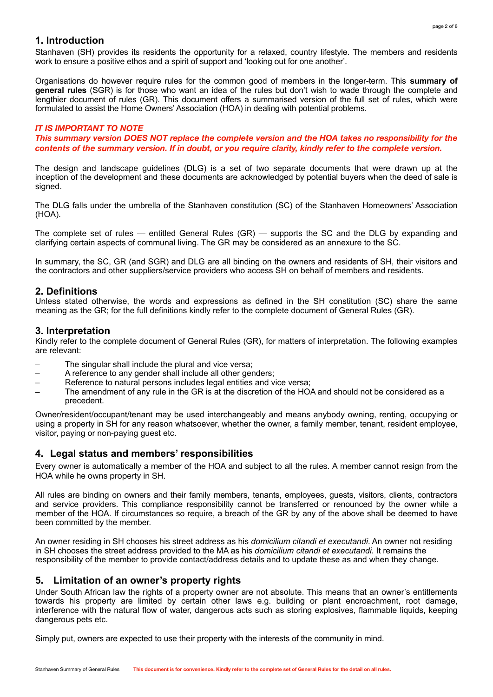# **1. Introduction**

Stanhaven (SH) provides its residents the opportunity for a relaxed, country lifestyle. The members and residents work to ensure a positive ethos and a spirit of support and 'looking out for one another'.

Organisations do however require rules for the common good of members in the longer-term. This **summary of general rules** (SGR) is for those who want an idea of the rules but don't wish to wade through the complete and lengthier document of rules (GR). This document offers a summarised version of the full set of rules, which were formulated to assist the Home Owners' Association (HOA) in dealing with potential problems.

#### *IT IS IMPORTANT TO NOTE*

*This summary version DOES NOT replace the complete version and the HOA takes no responsibility for the contents of the summary version. If in doubt, or you require clarity, kindly refer to the complete version.* 

The design and landscape guidelines (DLG) is a set of two separate documents that were drawn up at the inception of the development and these documents are acknowledged by potential buyers when the deed of sale is signed.

The DLG falls under the umbrella of the Stanhaven constitution (SC) of the Stanhaven Homeowners' Association (HOA).

The complete set of rules — entitled General Rules (GR) — supports the SC and the DLG by expanding and clarifying certain aspects of communal living. The GR may be considered as an annexure to the SC.

In summary, the SC, GR (and SGR) and DLG are all binding on the owners and residents of SH, their visitors and the contractors and other suppliers/service providers who access SH on behalf of members and residents.

#### **2. Definitions**

Unless stated otherwise, the words and expressions as defined in the SH constitution (SC) share the same meaning as the GR; for the full definitions kindly refer to the complete document of General Rules (GR).

#### **3. Interpretation**

Kindly refer to the complete document of General Rules (GR), for matters of interpretation. The following examples are relevant:

- The singular shall include the plural and vice versa;
- A reference to any gender shall include all other genders;
- Reference to natural persons includes legal entities and vice versa;
- The amendment of any rule in the GR is at the discretion of the HOA and should not be considered as a precedent.

Owner/resident/occupant/tenant may be used interchangeably and means anybody owning, renting, occupying or using a property in SH for any reason whatsoever, whether the owner, a family member, tenant, resident employee, visitor, paying or non-paying guest etc.

#### **4. Legal status and members' responsibilities**

Every owner is automatically a member of the HOA and subject to all the rules. A member cannot resign from the HOA while he owns property in SH.

All rules are binding on owners and their family members, tenants, employees, guests, visitors, clients, contractors and service providers. This compliance responsibility cannot be transferred or renounced by the owner while a member of the HOA. If circumstances so require, a breach of the GR by any of the above shall be deemed to have been committed by the member.

An owner residing in SH chooses his street address as his *domicilium citandi et executandi*. An owner not residing in SH chooses the street address provided to the MA as his *domicilium citandi et executandi*. It remains the responsibility of the member to provide contact/address details and to update these as and when they change.

#### **5. Limitation of an owner's property rights**

Under South African law the rights of a property owner are not absolute. This means that an owner's entitlements towards his property are limited by certain other laws e.g. building or plant encroachment, root damage, interference with the natural flow of water, dangerous acts such as storing explosives, flammable liquids, keeping dangerous pets etc.

Simply put, owners are expected to use their property with the interests of the community in mind.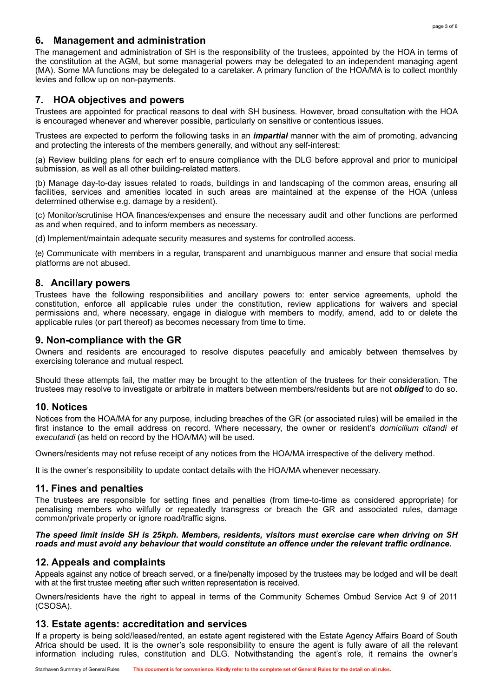# **6. Management and administration**

The management and administration of SH is the responsibility of the trustees, appointed by the HOA in terms of the constitution at the AGM, but some managerial powers may be delegated to an independent managing agent (MA). Some MA functions may be delegated to a caretaker. A primary function of the HOA/MA is to collect monthly levies and follow up on non-payments.

# **7. HOA objectives and powers**

Trustees are appointed for practical reasons to deal with SH business. However, broad consultation with the HOA is encouraged whenever and wherever possible, particularly on sensitive or contentious issues.

Trustees are expected to perform the following tasks in an *impartial* manner with the aim of promoting, advancing and protecting the interests of the members generally, and without any self-interest:

(a) Review building plans for each erf to ensure compliance with the DLG before approval and prior to municipal submission, as well as all other building-related matters.

(b) Manage day-to-day issues related to roads, buildings in and landscaping of the common areas, ensuring all facilities, services and amenities located in such areas are maintained at the expense of the HOA (unless determined otherwise e.g. damage by a resident).

(c) Monitor/scrutinise HOA finances/expenses and ensure the necessary audit and other functions are performed as and when required, and to inform members as necessary.

(d) Implement/maintain adequate security measures and systems for controlled access.

(e) Communicate with members in a regular, transparent and unambiguous manner and ensure that social media platforms are not abused.

# **8. Ancillary powers**

Trustees have the following responsibilities and ancillary powers to: enter service agreements, uphold the constitution, enforce all applicable rules under the constitution, review applications for waivers and special permissions and, where necessary, engage in dialogue with members to modify, amend, add to or delete the applicable rules (or part thereof) as becomes necessary from time to time.

# **9. Non-compliance with the GR**

Owners and residents are encouraged to resolve disputes peacefully and amicably between themselves by exercising tolerance and mutual respect.

Should these attempts fail, the matter may be brought to the attention of the trustees for their consideration. The trustees may resolve to investigate or arbitrate in matters between members/residents but are not *obliged* to do so.

# **10. Notices**

Notices from the HOA/MA for any purpose, including breaches of the GR (or associated rules) will be emailed in the first instance to the email address on record. Where necessary, the owner or resident's *domicilium citandi et executandi* (as held on record by the HOA/MA) will be used.

Owners/residents may not refuse receipt of any notices from the HOA/MA irrespective of the delivery method.

It is the owner's responsibility to update contact details with the HOA/MA whenever necessary.

# **11. Fines and penalties**

The trustees are responsible for setting fines and penalties (from time-to-time as considered appropriate) for penalising members who wilfully or repeatedly transgress or breach the GR and associated rules, damage common/private property or ignore road/traffic signs.

## *The speed limit inside SH is 25kph. Members, residents, visitors must exercise care when driving on SH roads and must avoid any behaviour that would constitute an offence under the relevant traffic ordinance.*

# **12. Appeals and complaints**

Appeals against any notice of breach served, or a fine/penalty imposed by the trustees may be lodged and will be dealt with at the first trustee meeting after such written representation is received.

Owners/residents have the right to appeal in terms of the Community Schemes Ombud Service Act 9 of 2011 (CSOSA).

# **13. Estate agents: accreditation and services**

If a property is being sold/leased/rented, an estate agent registered with the Estate Agency Affairs Board of South Africa should be used. It is the owner's sole responsibility to ensure the agent is fully aware of all the relevant information including rules, constitution and DLG. Notwithstanding the agent's role, it remains the owner's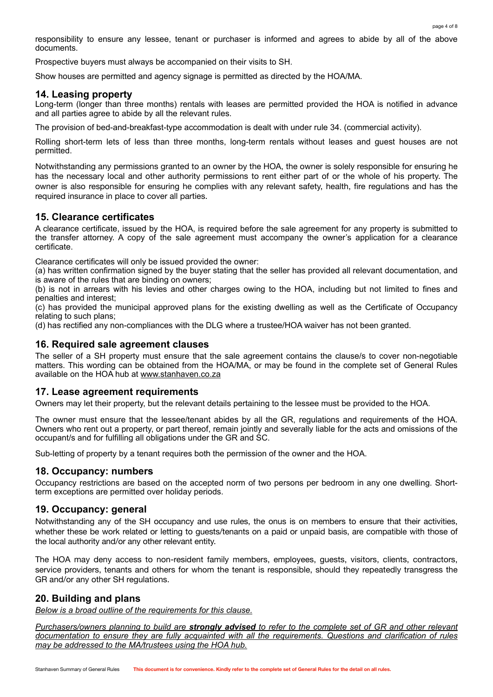responsibility to ensure any lessee, tenant or purchaser is informed and agrees to abide by all of the above documents.

Prospective buyers must always be accompanied on their visits to SH.

Show houses are permitted and agency signage is permitted as directed by the HOA/MA.

# **14. Leasing property**

Long-term (longer than three months) rentals with leases are permitted provided the HOA is notified in advance and all parties agree to abide by all the relevant rules.

The provision of bed-and-breakfast-type accommodation is dealt with under rule 34. (commercial activity).

Rolling short-term lets of less than three months, long-term rentals without leases and guest houses are not permitted.

Notwithstanding any permissions granted to an owner by the HOA, the owner is solely responsible for ensuring he has the necessary local and other authority permissions to rent either part of or the whole of his property. The owner is also responsible for ensuring he complies with any relevant safety, health, fire regulations and has the required insurance in place to cover all parties.

# **15. Clearance certificates**

A clearance certificate, issued by the HOA, is required before the sale agreement for any property is submitted to the transfer attorney. A copy of the sale agreement must accompany the owner's application for a clearance certificate.

Clearance certificates will only be issued provided the owner:

(a) has written confirmation signed by the buyer stating that the seller has provided all relevant documentation, and is aware of the rules that are binding on owners;

(b) is not in arrears with his levies and other charges owing to the HOA, including but not limited to fines and penalties and interest;

(c) has provided the municipal approved plans for the existing dwelling as well as the Certificate of Occupancy relating to such plans;

(d) has rectified any non-compliances with the DLG where a trustee/HOA waiver has not been granted.

## **16. Required sale agreement clauses**

The seller of a SH property must ensure that the sale agreement contains the clause/s to cover non-negotiable matters. This wording can be obtained from the HOA/MA, or may be found in the complete set of General Rules available on the HOA hub at [www.stanhaven.co.za](http://www.stanhaven.co.za)

#### **17. Lease agreement requirements**

Owners may let their property, but the relevant details pertaining to the lessee must be provided to the HOA.

The owner must ensure that the lessee/tenant abides by all the GR, regulations and requirements of the HOA. Owners who rent out a property, or part thereof, remain jointly and severally liable for the acts and omissions of the occupant/s and for fulfilling all obligations under the GR and SC.

Sub-letting of property by a tenant requires both the permission of the owner and the HOA.

#### **18. Occupancy: numbers**

Occupancy restrictions are based on the accepted norm of two persons per bedroom in any one dwelling. Shortterm exceptions are permitted over holiday periods.

#### **19. Occupancy: general**

Notwithstanding any of the SH occupancy and use rules, the onus is on members to ensure that their activities, whether these be work related or letting to guests/tenants on a paid or unpaid basis, are compatible with those of the local authority and/or any other relevant entity.

The HOA may deny access to non-resident family members, employees, guests, visitors, clients, contractors, service providers, tenants and others for whom the tenant is responsible, should they repeatedly transgress the GR and/or any other SH regulations.

# **20. Building and plans**

*Below is a broad outline of the requirements for this clause.* 

*Purchasers/owners planning to build are strongly advised to refer to the complete set of GR and other relevant documentation to ensure they are fully acquainted with all the requirements. Questions and clarification of rules may be addressed to the MA/trustees using the HOA hub.*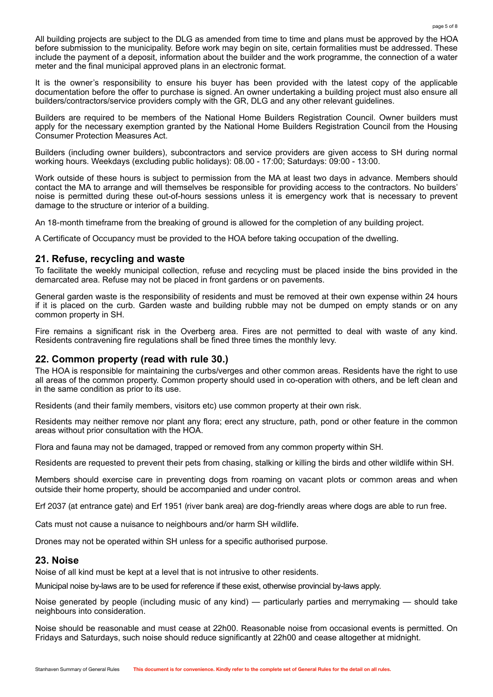All building projects are subject to the DLG as amended from time to time and plans must be approved by the HOA before submission to the municipality. Before work may begin on site, certain formalities must be addressed. These include the payment of a deposit, information about the builder and the work programme, the connection of a water meter and the final municipal approved plans in an electronic format.

It is the owner's responsibility to ensure his buyer has been provided with the latest copy of the applicable documentation before the offer to purchase is signed. An owner undertaking a building project must also ensure all builders/contractors/service providers comply with the GR, DLG and any other relevant guidelines.

Builders are required to be members of the National Home Builders Registration Council. Owner builders must apply for the necessary exemption granted by the National Home Builders Registration Council from the Housing Consumer Protection Measures Act.

Builders (including owner builders), subcontractors and service providers are given access to SH during normal working hours. Weekdays (excluding public holidays): 08.00 - 17:00; Saturdays: 09:00 - 13:00.

Work outside of these hours is subject to permission from the MA at least two days in advance. Members should contact the MA to arrange and will themselves be responsible for providing access to the contractors. No builders' noise is permitted during these out-of-hours sessions unless it is emergency work that is necessary to prevent damage to the structure or interior of a building.

An 18-month timeframe from the breaking of ground is allowed for the completion of any building project.

A Certificate of Occupancy must be provided to the HOA before taking occupation of the dwelling.

## **21. Refuse, recycling and waste**

To facilitate the weekly municipal collection, refuse and recycling must be placed inside the bins provided in the demarcated area. Refuse may not be placed in front gardens or on pavements.

General garden waste is the responsibility of residents and must be removed at their own expense within 24 hours if it is placed on the curb. Garden waste and building rubble may not be dumped on empty stands or on any common property in SH.

Fire remains a significant risk in the Overberg area. Fires are not permitted to deal with waste of any kind. Residents contravening fire regulations shall be fined three times the monthly levy.

# **22. Common property (read with rule 30.)**

The HOA is responsible for maintaining the curbs/verges and other common areas. Residents have the right to use all areas of the common property. Common property should used in co-operation with others, and be left clean and in the same condition as prior to its use.

Residents (and their family members, visitors etc) use common property at their own risk.

Residents may neither remove nor plant any flora; erect any structure, path, pond or other feature in the common areas without prior consultation with the HOA.

Flora and fauna may not be damaged, trapped or removed from any common property within SH.

Residents are requested to prevent their pets from chasing, stalking or killing the birds and other wildlife within SH.

Members should exercise care in preventing dogs from roaming on vacant plots or common areas and when outside their home property, should be accompanied and under control.

Erf 2037 (at entrance gate) and Erf 1951 (river bank area) are dog-friendly areas where dogs are able to run free.

Cats must not cause a nuisance to neighbours and/or harm SH wildlife.

Drones may not be operated within SH unless for a specific authorised purpose.

#### **23. Noise**

Noise of all kind must be kept at a level that is not intrusive to other residents.

Municipal noise by-laws are to be used for reference if these exist, otherwise provincial by-laws apply.

Noise generated by people (including music of any kind) — particularly parties and merrymaking — should take neighbours into consideration.

Noise should be reasonable and must cease at 22h00. Reasonable noise from occasional events is permitted. On Fridays and Saturdays, such noise should reduce significantly at 22h00 and cease altogether at midnight.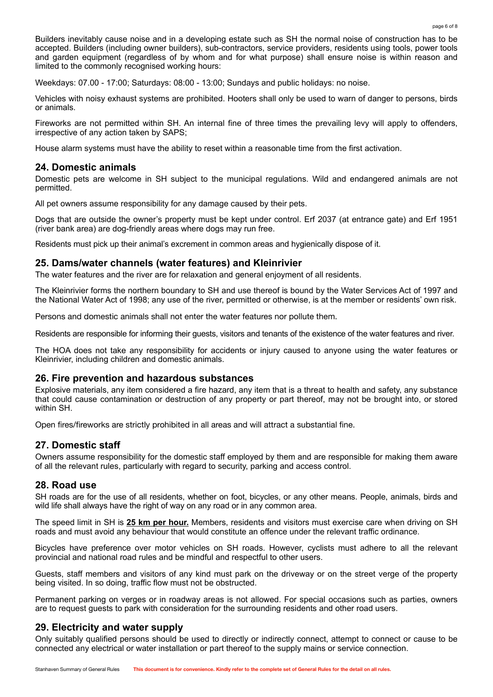Builders inevitably cause noise and in a developing estate such as SH the normal noise of construction has to be accepted. Builders (including owner builders), sub-contractors, service providers, residents using tools, power tools and garden equipment (regardless of by whom and for what purpose) shall ensure noise is within reason and limited to the commonly recognised working hours:

Weekdays: 07.00 - 17:00; Saturdays: 08:00 - 13:00; Sundays and public holidays: no noise.

Vehicles with noisy exhaust systems are prohibited. Hooters shall only be used to warn of danger to persons, birds or animals.

Fireworks are not permitted within SH. An internal fine of three times the prevailing levy will apply to offenders, irrespective of any action taken by SAPS;

House alarm systems must have the ability to reset within a reasonable time from the first activation.

# **24. Domestic animals**

Domestic pets are welcome in SH subject to the municipal regulations. Wild and endangered animals are not permitted.

All pet owners assume responsibility for any damage caused by their pets.

Dogs that are outside the owner's property must be kept under control. Erf 2037 (at entrance gate) and Erf 1951 (river bank area) are dog-friendly areas where dogs may run free.

Residents must pick up their animal's excrement in common areas and hygienically dispose of it.

# **25. Dams/water channels (water features) and Kleinrivier**

The water features and the river are for relaxation and general enjoyment of all residents.

The Kleinrivier forms the northern boundary to SH and use thereof is bound by the Water Services Act of 1997 and the National Water Act of 1998; any use of the river, permitted or otherwise, is at the member or residents' own risk.

Persons and domestic animals shall not enter the water features nor pollute them.

Residents are responsible for informing their guests, visitors and tenants of the existence of the water features and river.

The HOA does not take any responsibility for accidents or injury caused to anyone using the water features or Kleinrivier, including children and domestic animals.

#### **26. Fire prevention and hazardous substances**

Explosive materials, any item considered a fire hazard, any item that is a threat to health and safety, any substance that could cause contamination or destruction of any property or part thereof, may not be brought into, or stored within SH.

Open fires/fireworks are strictly prohibited in all areas and will attract a substantial fine.

# **27. Domestic staff**

Owners assume responsibility for the domestic staff employed by them and are responsible for making them aware of all the relevant rules, particularly with regard to security, parking and access control.

# **28. Road use**

SH roads are for the use of all residents, whether on foot, bicycles, or any other means. People, animals, birds and wild life shall always have the right of way on any road or in any common area.

The speed limit in SH is **25 km per hour.** Members, residents and visitors must exercise care when driving on SH roads and must avoid any behaviour that would constitute an offence under the relevant traffic ordinance.

Bicycles have preference over motor vehicles on SH roads. However, cyclists must adhere to all the relevant provincial and national road rules and be mindful and respectful to other users.

Guests, staff members and visitors of any kind must park on the driveway or on the street verge of the property being visited. In so doing, traffic flow must not be obstructed.

Permanent parking on verges or in roadway areas is not allowed. For special occasions such as parties, owners are to request guests to park with consideration for the surrounding residents and other road users.

# **29. Electricity and water supply**

Only suitably qualified persons should be used to directly or indirectly connect, attempt to connect or cause to be connected any electrical or water installation or part thereof to the supply mains or service connection.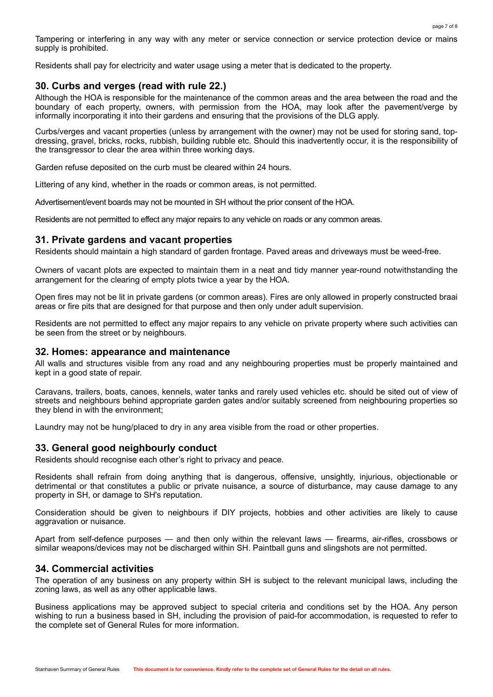Tampering or interfering in any way with any meter or service connection or service protection device or mains supply is prohibited.

Residents shall pay for electricity and water usage using a meter that is dedicated to the property.

# **30. Curbs and verges (read with rule 22.)**

Although the HOA is responsible for the maintenance of the common areas and the area between the road and the boundary of each property, owners, with permission from the HOA, may look after the pavement/verge by informally incorporating it into their gardens and ensuring that the provisions of the DLG apply.

Curbs/verges and vacant properties (unless by arrangement with the owner) may not be used for storing sand, topdressing, gravel, bricks, rocks, rubbish, building rubble etc. Should this inadvertently occur, it is the responsibility of the transgressor to clear the area within three working days.

Garden refuse deposited on the curb must be cleared within 24 hours.

Littering of any kind, whether in the roads or common areas, is not permitted.

Advertisement/event boards may not be mounted in SH without the prior consent of the HOA.

Residents are not permitted to effect any major repairs to any vehicle on roads or any common areas.

# **31. Private gardens and vacant properties**

Residents should maintain a high standard of garden frontage. Paved areas and driveways must be weed-free.

Owners of vacant plots are expected to maintain them in a neat and tidy manner year-round notwithstanding the arrangement for the clearing of empty plots twice a year by the HOA.

Open fires may not be lit in private gardens (or common areas). Fires are only allowed in properly constructed braai areas or fire pits that are designed for that purpose and then only under adult supervision.

Residents are not permitted to effect any major repairs to any vehicle on private property where such activities can be seen from the street or by neighbours.

## **32. Homes: appearance and maintenance**

All walls and structures visible from any road and any neighbouring properties must be properly maintained and kept in a good state of repair.

Caravans, trailers, boats, canoes, kennels, water tanks and rarely used vehicles etc. should be sited out of view of streets and neighbours behind appropriate garden gates and/or suitably screened from neighbouring properties so they blend in with the environment;

Laundry may not be hung/placed to dry in any area visible from the road or other properties.

# **33. General good neighbourly conduct**

Residents should recognise each other's right to privacy and peace.

Residents shall refrain from doing anything that is dangerous, offensive, unsightly, injurious, objectionable or detrimental or that constitutes a public or private nuisance, a source of disturbance, may cause damage to any property in SH, or damage to SH's reputation.

Consideration should be given to neighbours if DIY projects, hobbies and other activities are likely to cause aggravation or nuisance.

Apart from self-defence purposes — and then only within the relevant laws — firearms, air-rifles, crossbows or similar weapons/devices may not be discharged within SH. Paintball guns and slingshots are not permitted.

# **34. Commercial activities**

The operation of any business on any property within SH is subject to the relevant municipal laws, including the zoning laws, as well as any other applicable laws.

Business applications may be approved subject to special criteria and conditions set by the HOA. Any person wishing to run a business based in SH, including the provision of paid-for accommodation, is requested to refer to the complete set of General Rules for more information.